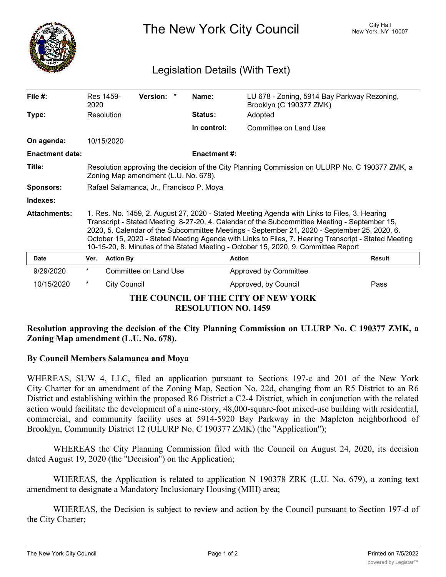

The New York City Council New York, NY 10007

## Legislation Details (With Text)

| File $#$ :                                                        | 2020                                                                                                                                                                                                                                                                                                                                                                                                                                                                                       | Res 1459-        | Version: *            |  | Name:               | LU 678 - Zoning, 5914 Bay Parkway Rezoning,<br>Brooklyn (C 190377 ZMK) |               |
|-------------------------------------------------------------------|--------------------------------------------------------------------------------------------------------------------------------------------------------------------------------------------------------------------------------------------------------------------------------------------------------------------------------------------------------------------------------------------------------------------------------------------------------------------------------------------|------------------|-----------------------|--|---------------------|------------------------------------------------------------------------|---------------|
| Type:                                                             |                                                                                                                                                                                                                                                                                                                                                                                                                                                                                            | Resolution       |                       |  | <b>Status:</b>      | Adopted                                                                |               |
|                                                                   |                                                                                                                                                                                                                                                                                                                                                                                                                                                                                            |                  |                       |  | In control:         | Committee on Land Use                                                  |               |
| On agenda:                                                        |                                                                                                                                                                                                                                                                                                                                                                                                                                                                                            | 10/15/2020       |                       |  |                     |                                                                        |               |
| <b>Enactment date:</b>                                            |                                                                                                                                                                                                                                                                                                                                                                                                                                                                                            |                  |                       |  | <b>Enactment #:</b> |                                                                        |               |
| Title:                                                            | Resolution approving the decision of the City Planning Commission on ULURP No. C 190377 ZMK, a<br>Zoning Map amendment (L.U. No. 678).                                                                                                                                                                                                                                                                                                                                                     |                  |                       |  |                     |                                                                        |               |
| <b>Sponsors:</b>                                                  | Rafael Salamanca, Jr., Francisco P. Moya                                                                                                                                                                                                                                                                                                                                                                                                                                                   |                  |                       |  |                     |                                                                        |               |
| Indexes:                                                          |                                                                                                                                                                                                                                                                                                                                                                                                                                                                                            |                  |                       |  |                     |                                                                        |               |
| <b>Attachments:</b>                                               | 1. Res. No. 1459, 2. August 27, 2020 - Stated Meeting Agenda with Links to Files, 3. Hearing<br>Transcript - Stated Meeting 8-27-20, 4. Calendar of the Subcommittee Meeting - September 15,<br>2020, 5. Calendar of the Subcommittee Meetings - September 21, 2020 - September 25, 2020, 6.<br>October 15, 2020 - Stated Meeting Agenda with Links to Files, 7. Hearing Transcript - Stated Meeting<br>10-15-20, 8. Minutes of the Stated Meeting - October 15, 2020, 9. Committee Report |                  |                       |  |                     |                                                                        |               |
| Date                                                              | Ver.                                                                                                                                                                                                                                                                                                                                                                                                                                                                                       | <b>Action By</b> |                       |  |                     | <b>Action</b>                                                          | <b>Result</b> |
| 9/29/2020                                                         | $\star$                                                                                                                                                                                                                                                                                                                                                                                                                                                                                    |                  | Committee on Land Use |  |                     | Approved by Committee                                                  |               |
| 10/15/2020                                                        | $^\star$                                                                                                                                                                                                                                                                                                                                                                                                                                                                                   | City Council     |                       |  |                     | Approved, by Council                                                   | Pass          |
| THE COUNCIL OF THE CITY OF NEW YORK<br><b>RESOLUTION NO. 1459</b> |                                                                                                                                                                                                                                                                                                                                                                                                                                                                                            |                  |                       |  |                     |                                                                        |               |

## **Resolution approving the decision of the City Planning Commission on ULURP No. C 190377 ZMK, a Zoning Map amendment (L.U. No. 678).**

## **By Council Members Salamanca and Moya**

WHEREAS, SUW 4, LLC, filed an application pursuant to Sections 197-c and 201 of the New York City Charter for an amendment of the Zoning Map, Section No. 22d, changing from an R5 District to an R6 District and establishing within the proposed R6 District a C2-4 District, which in conjunction with the related action would facilitate the development of a nine-story, 48,000-square-foot mixed-use building with residential, commercial, and community facility uses at 5914-5920 Bay Parkway in the Mapleton neighborhood of Brooklyn, Community District 12 (ULURP No. C 190377 ZMK) (the "Application");

WHEREAS the City Planning Commission filed with the Council on August 24, 2020, its decision dated August 19, 2020 (the "Decision") on the Application;

WHEREAS, the Application is related to application N 190378 ZRK (L.U. No. 679), a zoning text amendment to designate a Mandatory Inclusionary Housing (MIH) area;

WHEREAS, the Decision is subject to review and action by the Council pursuant to Section 197-d of the City Charter;